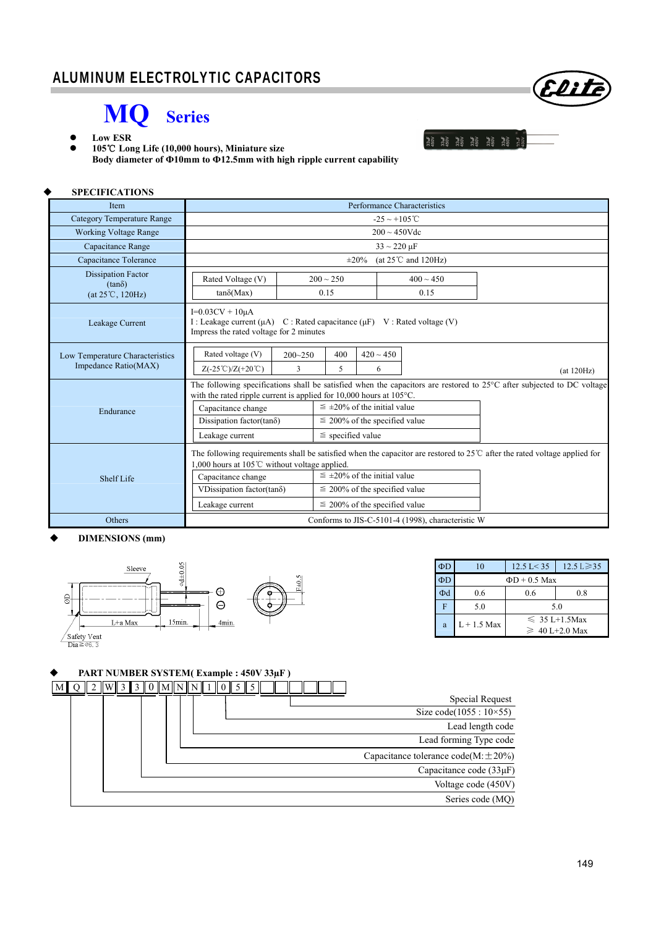## **MQ Series**



 **105 Long Life (10,000 hours),** ℃ **Miniature size Body diameter of Ф10mm to Ф12.5mm with high ripple current capability** 

| <b>SPECIFICATIONS</b>                                   |                                                                                                                                                               |                                                                                                                                                                                                                                                       |                                                   |                                                                                                                        |
|---------------------------------------------------------|---------------------------------------------------------------------------------------------------------------------------------------------------------------|-------------------------------------------------------------------------------------------------------------------------------------------------------------------------------------------------------------------------------------------------------|---------------------------------------------------|------------------------------------------------------------------------------------------------------------------------|
| Item                                                    |                                                                                                                                                               |                                                                                                                                                                                                                                                       | Performance Characteristics                       |                                                                                                                        |
| <b>Category Temperature Range</b>                       |                                                                                                                                                               |                                                                                                                                                                                                                                                       | $-25 \sim +105^{\circ}$ C                         |                                                                                                                        |
| <b>Working Voltage Range</b>                            |                                                                                                                                                               |                                                                                                                                                                                                                                                       | $200 \sim 450$ Vdc                                |                                                                                                                        |
| Capacitance Range                                       |                                                                                                                                                               |                                                                                                                                                                                                                                                       | $33 \sim 220 \text{ }\mu\text{F}$                 |                                                                                                                        |
| Capacitance Tolerance                                   | (at $25^{\circ}$ C and $120\text{Hz}$ )<br>$\pm 20\%$                                                                                                         |                                                                                                                                                                                                                                                       |                                                   |                                                                                                                        |
| <b>Dissipation Factor</b><br>$(tan\delta)$              | Rated Voltage (V)                                                                                                                                             | $400 \sim 450$<br>$200 \sim 250$                                                                                                                                                                                                                      |                                                   |                                                                                                                        |
| (at 25°C, 120Hz)                                        | $tan\delta(Max)$                                                                                                                                              | 0.15                                                                                                                                                                                                                                                  | 0.15                                              |                                                                                                                        |
| Leakage Current                                         | $I=0.03CV + 10\mu A$<br>I: Leakage current $(\mu A)$ C: Rated capacitance $(\mu F)$ V: Rated voltage (V)<br>Impress the rated voltage for 2 minutes           |                                                                                                                                                                                                                                                       |                                                   |                                                                                                                        |
| Low Temperature Characteristics<br>Impedance Ratio(MAX) | Rated voltage (V)<br>$200 - 250$<br>3<br>$Z(-25^{\circ}\text{C})/Z(+20^{\circ}\text{C})$                                                                      | 400<br>5                                                                                                                                                                                                                                              | $420 \sim 450$<br>6                               | (at 120Hz)                                                                                                             |
| Endurance                                               | with the rated ripple current is applied for $10,000$ hours at $105^{\circ}$ C.<br>Capacitance change<br>Dissipation factor(tan $\delta$ )<br>Leakage current | $\leq \pm 20\%$ of the initial value<br>$\leq$ 200% of the specified value<br>$\le$ specified value                                                                                                                                                   |                                                   | The following specifications shall be satisfied when the capacitors are restored to 25°C after subjected to DC voltage |
| Shelf Life                                              | 1,000 hours at 105 $\degree$ C without voltage applied.<br>Capacitance change<br>VDissipation factor(tan $\delta$ )<br>Leakage current                        | The following requirements shall be satisfied when the capacitor are restored to $25^{\circ}$ after the rated voltage applied for<br>$\leq \pm 20\%$ of the initial value<br>$\leq$ 200% of the specified value<br>$\leq$ 200% of the specified value |                                                   |                                                                                                                        |
| Others                                                  |                                                                                                                                                               |                                                                                                                                                                                                                                                       | Conforms to JIS-C-5101-4 (1998), characteristic W |                                                                                                                        |

### **DIMENSIONS (mm)**



| ΦD | 10                 | $12.5 \text{ L} < 35$                     | $12.5 \text{ L} \geq 35$ |  |
|----|--------------------|-------------------------------------------|--------------------------|--|
| ΦD | $\Phi D + 0.5$ Max |                                           |                          |  |
| Φd | 0.6                | 0.6                                       | 0.8                      |  |
| F  | 5.0                | 5.0                                       |                          |  |
| a  | $L + 1.5$ Max      | $\leq 35$ L+1.5Max<br>$\geq 40$ L+2.0 Max |                          |  |

#### **PART NUMBER SYSTEM( Example : 450V 33µF )**